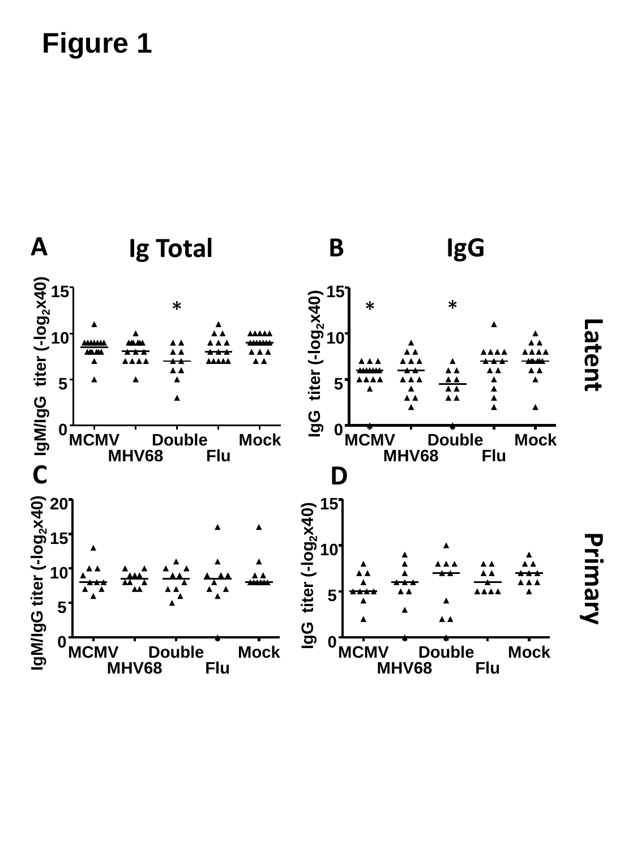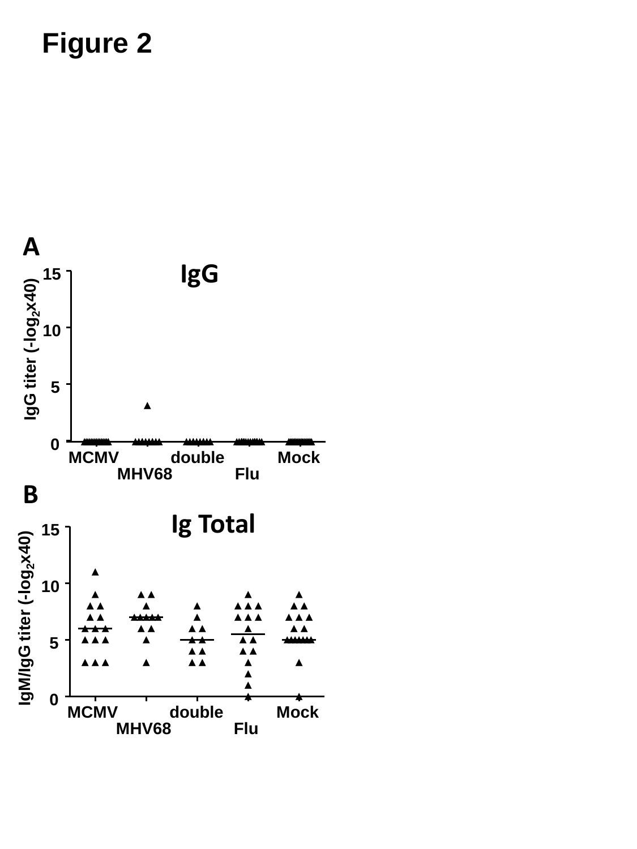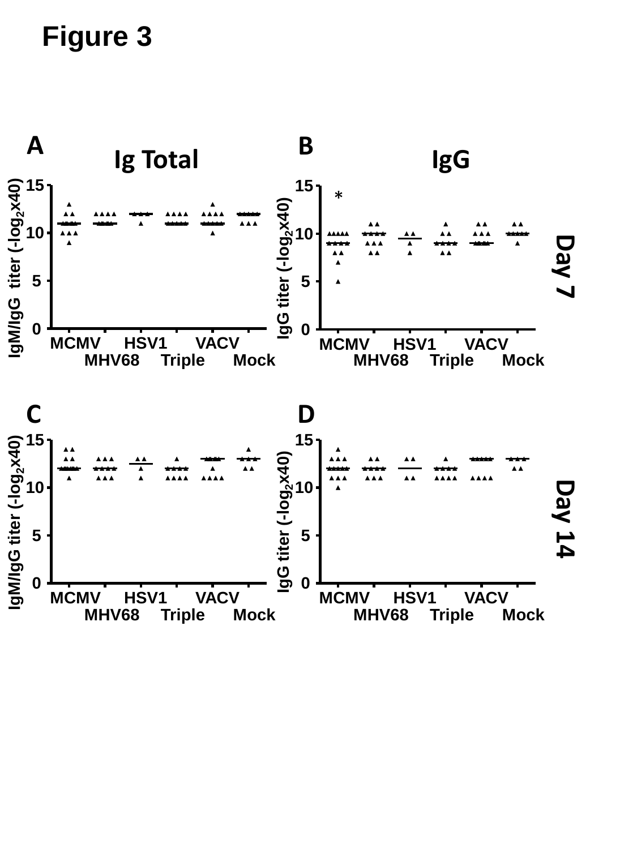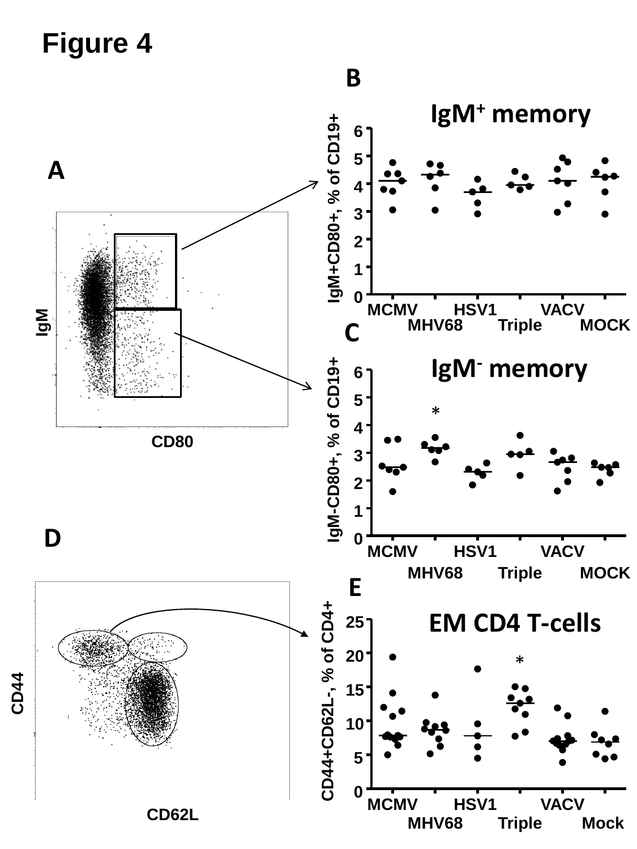